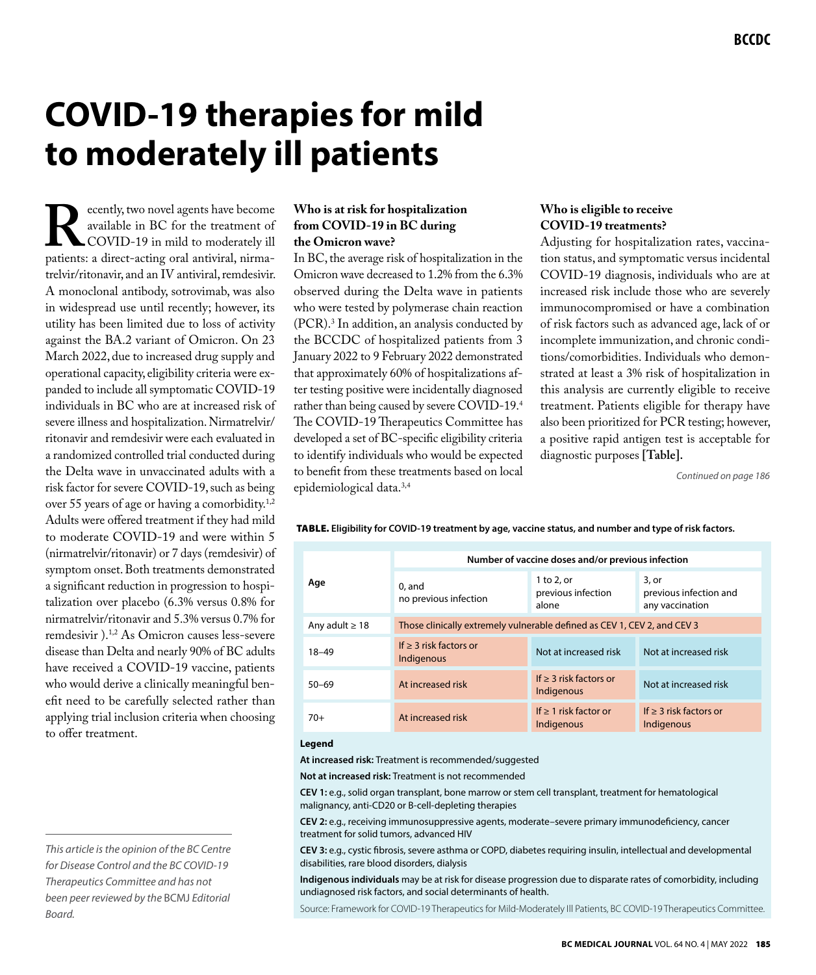# **COVID-19 therapies for mild to moderately ill patients**

**Recently, two novel agents have become**<br>available in BC for the treatment of<br>cOVID-19 in mild to moderately ill<br>patients: a direct-acting oral antiviral, nirmaavailable in BC for the treatment of COVID-19 in mild to moderately ill trelvir/ritonavir, and an IV antiviral, remdesivir. A monoclonal antibody, sotrovimab, was also in widespread use until recently; however, its utility has been limited due to loss of activity against the BA.2 variant of Omicron. On 23 March 2022, due to increased drug supply and operational capacity, eligibility criteria were expanded to include all symptomatic COVID-19 individuals in BC who are at increased risk of severe illness and hospitalization. Nirmatrelvir/ ritonavir and remdesivir were each evaluated in a randomized controlled trial conducted during the Delta wave in unvaccinated adults with a risk factor for severe COVID-19, such as being over 55 years of age or having a comorbidity.1,2 Adults were offered treatment if they had mild to moderate COVID-19 and were within 5 (nirmatrelvir/ritonavir) or 7 days (remdesivir) of symptom onset. Both treatments demonstrated a significant reduction in progression to hospitalization over placebo (6.3% versus 0.8% for nirmatrelvir/ritonavir and 5.3% versus 0.7% for remdesivir ).1,2 As Omicron causes less-severe disease than Delta and nearly 90% of BC adults have received a COVID-19 vaccine, patients who would derive a clinically meaningful benefit need to be carefully selected rather than applying trial inclusion criteria when choosing to offer treatment.

*This article is the opinion of the BC Centre for Disease Control and the BC COVID-19 Therapeutics Committee and has not been peer reviewed by the* BCMJ *Editorial Board.*

## **Who is at risk for hospitalization from COVID-19 in BC during the Omicron wave?**

In BC, the average risk of hospitalization in the Omicron wave decreased to 1.2% from the 6.3% observed during the Delta wave in patients who were tested by polymerase chain reaction (PCR).3 In addition, an analysis conducted by the BCCDC of hospitalized patients from 3 January 2022 to 9 February 2022 demonstrated that approximately 60% of hospitalizations after testing positive were incidentally diagnosed rather than being caused by severe COVID-19.4 The COVID-19 Therapeutics Committee has developed a set of BC-specific eligibility criteria to identify individuals who would be expected to benefit from these treatments based on local epidemiological data.3,4

# **Who is eligible to receive COVID-19 treatments?**

Adjusting for hospitalization rates, vaccination status, and symptomatic versus incidental COVID-19 diagnosis, individuals who are at increased risk include those who are severely immunocompromised or have a combination of risk factors such as advanced age, lack of or incomplete immunization, and chronic conditions/comorbidities. Individuals who demonstrated at least a 3% risk of hospitalization in this analysis are currently eligible to receive treatment. Patients eligible for therapy have also been prioritized for PCR testing; however, a positive rapid antigen test is acceptable for diagnostic purposes **[Table].**

*Continued on page 186*

### Table. **Eligibility for COVID-19 treatment by age, vaccine status, and number and type of risk factors.**

| Age                 | Number of vaccine doses and/or previous infection                        |                                           |                                                      |
|---------------------|--------------------------------------------------------------------------|-------------------------------------------|------------------------------------------------------|
|                     | 0, and<br>no previous infection                                          | 1 to 2, or<br>previous infection<br>alone | $3.$ or<br>previous infection and<br>any vaccination |
| Any adult $\geq 18$ | Those clinically extremely vulnerable defined as CEV 1, CEV 2, and CEV 3 |                                           |                                                      |
| 18-49               | If $\geq$ 3 risk factors or<br>Indigenous                                | Not at increased risk                     | Not at increased risk                                |
| $50 - 69$           | At increased risk                                                        | If $> 3$ risk factors or<br>Indigenous    | Not at increased risk                                |
| $70+$               | At increased risk                                                        | If $\geq 1$ risk factor or<br>Indigenous  | If $\geq$ 3 risk factors or<br>Indigenous            |

#### **Legend**

**At increased risk:** Treatment is recommended/suggested

**Not at increased risk:** Treatment is not recommended

**CEV 1:** e.g., solid organ transplant, bone marrow or stem cell transplant, treatment for hematological malignancy, anti-CD20 or B-cell-depleting therapies

**CEV 2:** e.g., receiving immunosuppressive agents, moderate–severe primary immunodeficiency, cancer treatment for solid tumors, advanced HIV

**CEV 3:** e.g., cystic fibrosis, severe asthma or COPD, diabetes requiring insulin, intellectual and developmental disabilities, rare blood disorders, dialysis

**Indigenous individuals** may be at risk for disease progression due to disparate rates of comorbidity, including undiagnosed risk factors, and social determinants of health.

Source: Framework for COVID-19 Therapeutics for Mild-Moderately Ill Patients, BC COVID-19 Therapeutics Committee.